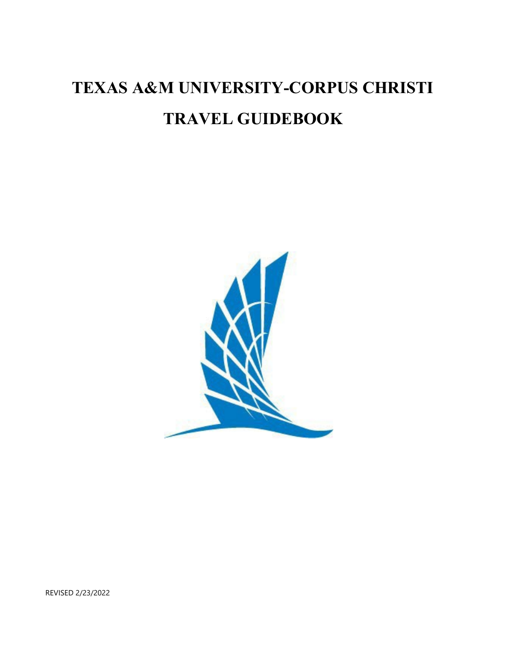# **TEXAS A&M UNIVERSITY-CORPUS CHRISTI TRAVEL GUIDEBOOK**



REVISED 2/23/2022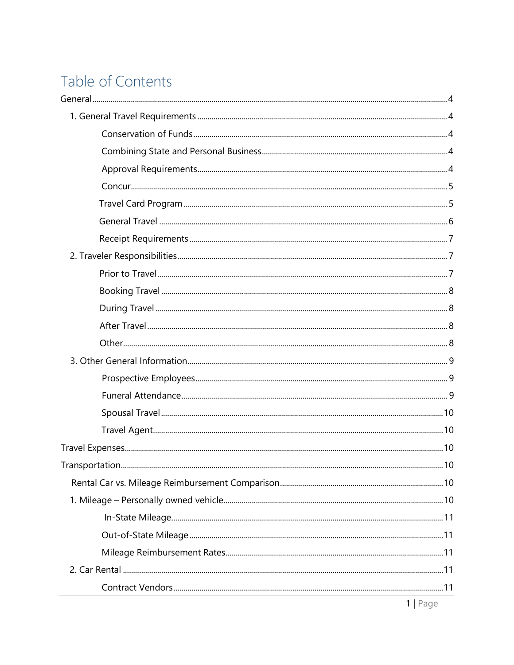# Table of Contents

| Transportation | .10              |
|----------------|------------------|
|                |                  |
|                |                  |
|                |                  |
|                |                  |
|                |                  |
|                |                  |
|                |                  |
|                | 11D <sub>2</sub> |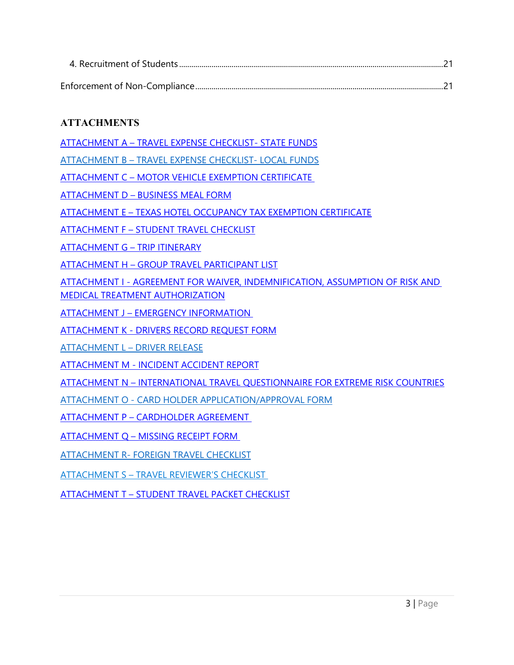# **ATTACHMENTS**

[ATTACHMENT A – TRAVEL EXPENSE CHECKLIST- STATE FUNDS](https://www.tamucc.edu/finance-and-administration/financial-services/disbursements-travel-services/travel/assets/documents/checklist-state-funds.pdf)

[ATTACHMENT B – TRAVEL EXPENSE CHECKLIST- LOCAL FUNDS](https://www.tamucc.edu/finance-and-administration/financial-services/disbursements-travel-services/travel/assets/documents/checklist-local-funds.pdf)

[ATTACHMENT C – MOTOR VEHICLE EXEMPTION CERTIFICATE](https://www.tamucc.edu/finance-and-administration/financial-services/disbursements-travel-services/travel/assets/documents/motor-vehicle-rental-exemption-certificate1.pdf)

ATTACHMENT [D – BUSINESS MEAL](https://www.tamucc.edu/finance-and-administration/financial-services/credit-card-administration/assets/documents/business-meal-form.pdf) FORM

ATTACHMENT E – TEXAS [HOTEL OCCUPANCY TAX](https://www.tamucc.edu/finance-and-administration/financial-services/disbursements-travel-services/travel/assets/documents/hotel-occupancy-tax-exemption.pdf) EXEMPTION CERTIFICATE

[ATTACHMENT](https://www.tamucc.edu/finance-and-administration/financial-services/disbursements-travel-services/travel/assets/documents/student-travel-checklist--instructions.pdf) F – STUDENT TRAVEL CHECKLIST

[ATTACHMENT G – TRIP ITINERARY](https://www.tamucc.edu/finance-and-administration/financial-services/disbursements-travel-services/travel/assets/documents/trip-itinerary.pdf) 

[ATTACHMENT H – GROUP TRAVEL](https://www.tamucc.edu/finance-and-administration/financial-services/disbursements-travel-services/travel/assets/documents/participant-list.pdf) PARTICIPANT LIST

[ATTACHMENT I - AGREEMENT FOR WAIVER, INDEMNIFICATION, ASSUMPTION OF RISK AND](https://www.tamucc.edu/finance-and-administration/financial-services/disbursements-travel-services/travel/assets/documents/waiver-indemnification-form.pdf)  [MEDICAL TREATMENT AUTHORIZATION](https://www.tamucc.edu/finance-and-administration/financial-services/disbursements-travel-services/travel/assets/documents/waiver-indemnification-form.pdf)

[ATTACHMENT J – EMERGENCY INFORMATION](https://www.tamucc.edu/finance-and-administration/financial-services/disbursements-travel-services/travel/assets/documents/emergency-information-form.pdf)

[ATTACHMENT K - DRIVERS RECORD REQUEST FORM](https://www.tamucc.edu/university-police-department/assets/documents/drivers-record-request.pdf)

[ATTACHMENT L – DRIVER](https://www.tamucc.edu/finance-and-administration/financial-services/disbursements-travel-services/travel/assets/documents/driver-release-form.pdf) RELEASE

[ATTACHMENT M - INCIDENT](https://www.tamucc.edu/finance-and-administration/financial-services/disbursements-travel-services/travel/assets/documents/incident---accident-report-form1.pdf) ACCIDENT REPORT

[ATTACHMENT N – INTERNATIONAL TRAVEL QUESTIONNAIRE FOR EXTREME RISK COUNTRIES](https://www.tamucc.edu/finance-and-administration/financial-services/disbursements-travel-services/travel/assets/documents/international-travel-questionnaire-for-extreme-risk-countries1.pdf)

[ATTACHMENT O - CARD HOLDER](https://www.tamucc.edu/finance-and-administration/financial-services/disbursements-travel-services/travel/assets/documents/cbt-travel-card-application.pdf) APPLICATION/APPROVAL FORM

[ATTACHMENT P – CARDHOLDER AGREEMENT](https://www.tamucc.edu/finance-and-administration/financial-services/disbursements-travel-services/travel/assets/documents/sample-for-website---citibank-cbt-cardholder-agreement.pdf)

[ATTACHMENT Q – MISSING RECEIPT FORM](https://www.tamucc.edu/finance-and-administration/financial-services/disbursements-travel-services/travel/assets/documents/missing-receipt-form_digitalsign.pdf)

[ATTACHMENT R- FOREIGN](https://www.tamucc.edu/finance-and-administration/financial-services/disbursements-travel-services/travel/assets/documents/faculty-and-staff-foreign-travel-checklist.pdf) TRAVEL CHECKLIST

ATTACHMENT S – TRAVEL REVIEWER'S CHECKLIST

[ATTACHMENT T – STUDENT TRAVEL PACKET CHECKLIST](https://www.tamucc.edu/finance-and-administration/financial-services/disbursements-travel-services/travel/assets/documents/student-packet-checklist.pdf)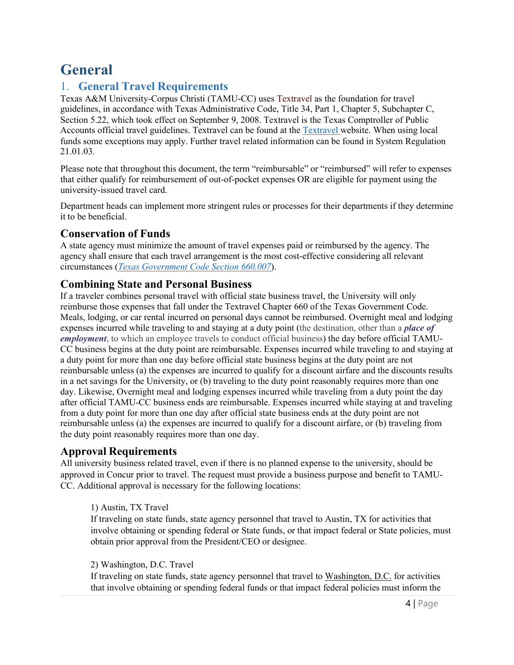# <span id="page-4-0"></span>**General**

# <span id="page-4-1"></span>1. **General Travel Requirements**

Texas A&M University-Corpus Christi (TAMU-CC) uses [Textravel a](https://fmx.cpa.state.tx.us/fmx/travel/textravel/index.php)s the foundation for travel guidelines, in accordance with Texas Administrative Code, Title 34, Part 1, Chapter 5, Subchapter C, Section 5.22, which took effect on September 9, 2008. [Textravel i](https://fmx.cpa.state.tx.us/fmx/travel/textravel/gen/index.php)s the Texas Comptroller of Public Accounts official travel guidelines. Textravel can be found at th[e Textravel w](https://fmx.cpa.texas.gov/fmx/travel/textravel/index.php)ebsite. When using local funds some exceptions may apply. Further travel related information can be found in System Regulation 21.01.03*.* 

Please note that throughout this document, the term "reimbursable" or "reimbursed" will refer to expenses that either qualify for reimbursement of out-of-pocket expenses OR are eligible for payment using the university-issued travel card.

Department heads can implement more stringent rules or processes for their departments if they determine it to be beneficial.

#### <span id="page-4-2"></span>**Conservation of Funds**

A state agency must minimize the amount of travel expenses paid or reimbursed by the agency. The agency shall ensure that each travel arrangement is the most cost-effective considering all relevant circumstances (*[Texas Government Code Section 660.007](https://statutes.capitol.texas.gov/Docs/GV/htm/GV.660.htm#660.007)*).

# <span id="page-4-3"></span>**Combining State and Personal Business**

If a traveler combines personal travel with official state business travel, the University will only reimburse those expenses that fall under the Textravel Chapter 660 of the Texas Government Code. Meals, lodging, or car rental incurred on personal days cannot be reimbursed. Overnight meal and lodging expenses incurred while traveling to and staying at a duty point (the destination, other than a *[place of](https://fmx.cpa.texas.gov/fmx/travel/textravel/gen/def/index.php#place_of_employment) [employment](https://fmx.cpa.texas.gov/fmx/travel/textravel/gen/def/index.php#place_of_employment)*, to which an employee travels to conduct official business) the day before official TAMU-CC business begins at the duty point are reimbursable. Expenses incurred while traveling to and staying at a duty point for more than one day before official state business begins at the duty point are not reimbursable unless (a) the expenses are incurred to qualify for a discount airfare and the discounts results in a net savings for the University, or (b) traveling to the duty point reasonably requires more than one day. Likewise, Overnight meal and lodging expenses incurred while traveling from a duty point the day after official TAMU-CC business ends are reimbursable. Expenses incurred while staying at and traveling from a duty point for more than one day after official state business ends at the duty point are not reimbursable unless (a) the expenses are incurred to qualify for a discount airfare, or (b) traveling from the duty point reasonably requires more than one day.

# <span id="page-4-4"></span>**Approval Requirements**

All university business related travel, even if there is no planned expense to the university, should be approved in Concur prior to travel. The request must provide a business purpose and benefit to TAMU-CC. Additional approval is necessary for the following locations:

#### 1) Austin, TX Travel

If traveling on state funds, state agency personnel that travel to Austin, TX for activities that involve obtaining or spending federal or State funds, or that impact federal or State policies, must obtain prior approval from the President/CEO or designee.

#### 2) Washington, D.C. Travel

If traveling on state funds, state agency personnel that travel to [Washington, D.C. f](https://fmx.cpa.state.tx.us/fmx/travel/textravel/gen/def/index.php#washington_dc)or activities that involve obtaining or spending federal funds or that impact federal policies must inform the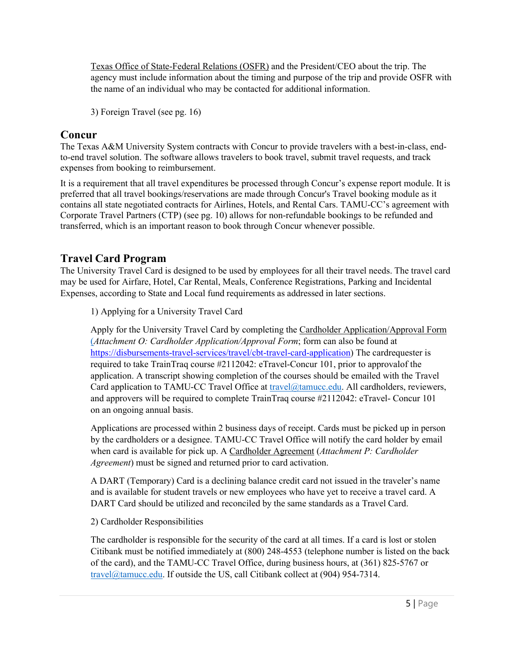Texas [Office of State-Federal Relations \(OSFR\)](http://governor.state.tx.us/osfr/) and the President/CEO about the trip. The agency must include information about the timing and purpose of the trip and provide OSFR with the name of an individual who may be contacted for additional information.

3) Foreign Travel (see pg. 16)

### <span id="page-5-0"></span>**Concur**

The Texas A&M University System contracts with Concur to provide travelers with a best-in-class, endto-end travel solution. The software allows travelers to book travel, submit travel requests, and track expenses from booking to reimbursement.

It is a requirement that all travel expenditures be processed through Concur's expense report module. It is preferred that all travel bookings/reservations are made through Concur's Travel booking module as it contains all state negotiated contracts for Airlines, Hotels, and Rental Cars. TAMU-CC's agreement with Corporate Travel Partners (CTP) (see pg. 10) allows for non-refundable bookings to be refunded and transferred, which is an important reason to book through Concur whenever possible.

# <span id="page-5-1"></span>**Travel Card Program**

The University Travel Card is designed to be used by employees for all their travel needs. The travel card may be used for Airfare, Hotel, Car Rental, Meals, Conference Registrations, Parking and Incidental Expenses, according to State and Local fund requirements as addressed in later sections.

1) Applying for a University Travel Card

Apply for the University Travel Card by completing the [Cardholder A](https://disbursement.tamu.edu/media/65005/University-Travel-Card-Application.pdf)pplication/Approval Form (*Attachment O: Cardholder Application/Approval Form*; form can also be found at [https://disbursements-travel-services/travel/cbt-travel-card-application\)](https://www.tamucc.edu/finance-and-administration/financial-services/disbursements-travel-services/travel/assets/documents/cbt-travel-card-application.pdf) The cardrequester is required to take TrainTraq course #2112042: eTravel-Concur 101, prior to approvalof the application. A transcript showing completion of the courses should be emailed with the Travel Card application to TAMU-CC Travel Office at [travel@tamucc.edu.](mailto:travel@tamucc.edu) All cardholders, reviewers, and approvers will be required to complete TrainTraq course #2112042: eTravel- Concur 101 on an ongoing annual basis.

Applications are processed within 2 business days of receipt. Cards must be picked up in person by the cardholders or a designee. TAMU-CC Travel Office will notify the card holder by email when card is available for pick up. A Cardholder Agreement (*Attachment P: Cardholder Agreement*) must be signed and returned prior to card activation.

A DART (Temporary) Card is a declining balance credit card not issued in the traveler's name and is available for student travels or new employees who have yet to receive a travel card. A DART Card should be utilized and reconciled by the same standards as a Travel Card.

#### 2) Cardholder Responsibilities

The cardholder is responsible for the security of the card at all times. If a card is lost or stolen Citibank must be notified immediately at (800) 248-4553 (telephone number is listed on the back of the card), and the TAMU-CC Travel Office, during business hours, at (361) 825-5767 or [travel@tamucc.edu. I](mailto:travel@tamucc.edu)f outside the US, call Citibank collect at (904) 954-7314.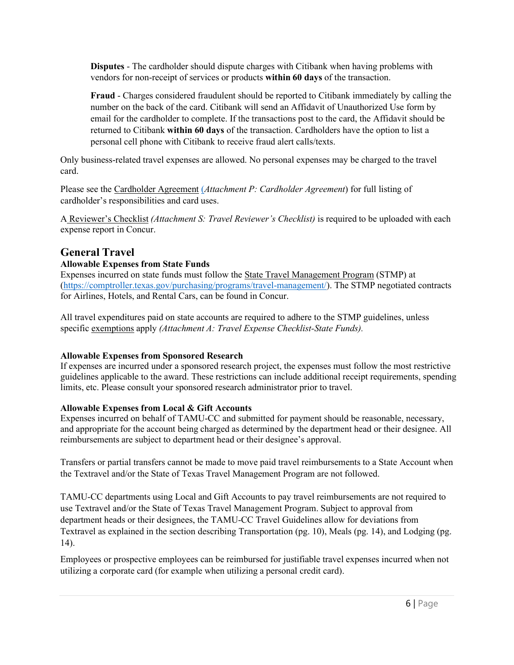**Disputes** - The cardholder should [dispute c](https://disbursement.tamu.edu/media/64999/SOT_Non-Travel-Related-Dispute-Form.pdf)harges with Citibank when having problems with vendors for non-receipt of services or products **within 60 days** of the transaction.

**Fraud** - Charges considered fraudulent should be reported to Citibank immediately by calling the number on the back of the card. Citibank will send an Affidavit of Unauthorized Use form by email for the cardholder to complete. If the transactions post to the card, the Affidavit should be returned to Citibank **within 60 days** of the transaction. Cardholders have the option to list a personal cell phone with Citibank to receive fraud alert calls/texts.

Only business-related travel expenses are allowed. No personal expenses may be charged to the travel card.

Please see the Cardholder Agreement (*Attachment P: Cardholder Agreement*) for full listing of cardholder's responsibilities and card uses.

A Reviewer's Checklist *(Attachment S: Travel Reviewer's Checklist)* is required to be uploaded with each expense report in Concur.

#### <span id="page-6-0"></span>**General Travel**

#### **Allowable Expenses from State Funds**

Expenses incurred on state funds must follow the [State Travel Management Program](http://www.window.state.tx.us/procurement/prog/stmp/) (STMP) at [\(https://comptroller.texas.gov/purchasing/programs/travel-management/\)](https://comptroller.texas.gov/purchasing/programs/travel-management/). The STMP negotiated contracts for Airlines, Hotels, and Rental Cars, can be found in Concur.

All travel expenditures paid on state accounts are required to adhere to the STMP guidelines, unless specific [exemptions](http://www.tamus.edu/assets/files/travel/pdf/STMP%20Travel%20Exception%20Form.pdf) apply *(Attachment A: Travel Expense Checklist-State Funds).* 

#### **Allowable Expenses from Sponsored Research**

If expenses are incurred under a sponsored research project, the expenses must follow the most restrictive guidelines applicable to the award. These restrictions can include additional receipt requirements, spending limits, etc. Please consult your sponsored research administrator prior to travel.

#### **Allowable Expenses from Local & Gift Accounts**

Expenses incurred on behalf of TAMU-CC and submitted for payment should be reasonable, necessary, and appropriate for the account being charged as determined by the department head or their designee. All reimbursements are subject to department head or their designee's approval.

Transfers or partial transfers cannot be made to move paid travel reimbursements to a State Account when the Textravel and/or the State of Texas Travel Management Program are not followed.

TAMU-CC departments using Local and Gift Accounts to pay travel reimbursements are not required to use Textravel and/or the State of Texas Travel Management Program. Subject to approval from department heads or their designees, the TAMU-CC Travel Guidelines allow for deviations from Textravel as explained in the section describing Transportation (pg. 10), Meals (pg. 14), and Lodging (pg. 14).

Employees or prospective employees can be reimbursed for justifiable travel expenses incurred when not utilizing a corporate card (for example when utilizing a personal credit card).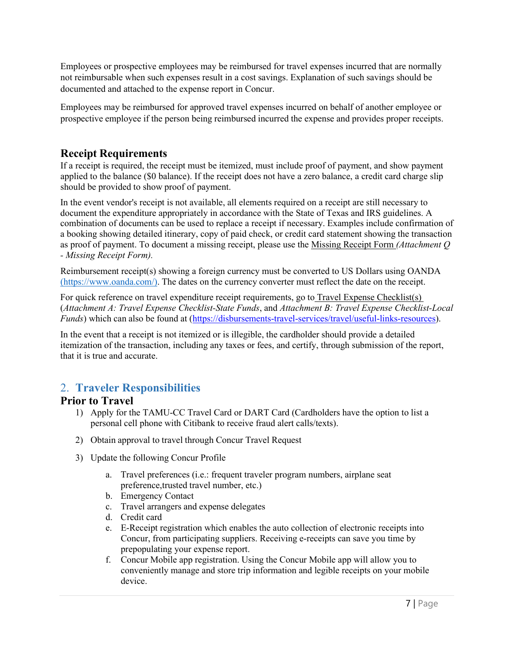Employees or prospective employees may be reimbursed for travel expenses incurred that are normally not reimbursable when such expenses result in a cost savings. Explanation of such savings should be documented and attached to the expense report in Concur.

Employees may be reimbursed for approved travel expenses incurred on behalf of another employee or prospective employee if the person being reimbursed incurred the expense and provides proper receipts.

### <span id="page-7-0"></span>**Receipt Requirements**

If a receipt is required, the receipt must be itemized, must include proof of payment, and show payment applied to the balance (\$0 balance). If the receipt does not have a zero balance, a credit card charge slip should be provided to show proof of payment.

In the event vendor's receipt is not available, all elements required on a receipt are still necessary to document the expenditure appropriately in accordance with the State of Texas and IRS guidelines. A combination of documents can be used to replace a receipt if necessary. Examples include confirmation of a booking showing detailed itinerary, copy of paid check, or credit card statement showing the transaction as proof of payment. To document a missing receipt, please use the Missing Receipt Form *(Attachment Q - Missing Receipt Form).*

Reimbursement receipt(s) showing a foreign currency must be converted to US Dollars using OANDA [\(https://www.oanda.com/\)](https://www.oanda.com/). The dates on the currency converter must reflect the date on the receipt.

For quick reference on travel expenditure receipt requirements, go to Travel Expense Checklist(s) (*Attachment A: Travel Expense Checklist-State Funds*, and *Attachment B: Travel Expense Checklist-Local Funds*) which can also be found at [\(https://disbursements-travel-services/travel/useful-links-resources\)](https://disbursements-travel-services/travel/useful-links-resources).

In the event that a receipt is not itemized or is illegible, the cardholder should provide a detailed itemization of the transaction, including any taxes or fees, and certify, through submission of the report, that it is true and accurate.

# <span id="page-7-1"></span>2. **Traveler Responsibilities**

#### **Prior to Travel**

- 1) Apply for the TAMU-CC Travel Card or DART Card (Cardholders have the option to list a personal cell phone with Citibank to receive fraud alert calls/texts).
- 2) Obtain approval to travel through Concur Travel Request
- 3) Update the following Concur Profile
	- a. Travel preferences (i.e.: frequent traveler program numbers, airplane seat preference,trusted travel number, etc.)
	- b. Emergency Contact
	- c. Travel arrangers and expense delegates
	- d. Credit card
	- e. E-Receipt registration which enables the auto collection of electronic receipts into Concur, from participating suppliers. Receiving e-receipts can save you time by prepopulating your expense report.
	- f. Concur Mobile app registration. Using the Concur Mobile app will allow you to conveniently manage and store trip information and legible receipts on your mobile device.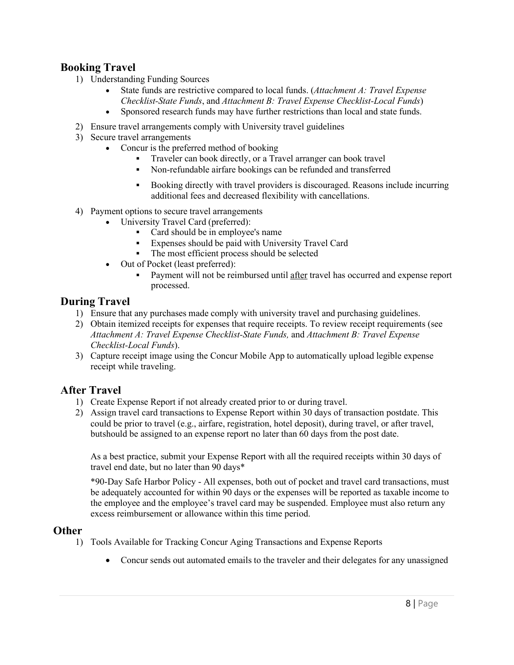### <span id="page-8-0"></span>**Booking Travel**

- 1) Understanding Funding Sources
	- State funds are restrictive compared to local funds. (*Attachment A: Travel Expense Checklist-State Funds*, and *Attachment B: Travel Expense Checklist-Local Funds*)
	- Sponsored research funds may have further restrictions than local and state funds.
- 2) Ensure travel arrangements comply with University travel guidelines
- 3) Secure travel arrangements
	- Concur is the preferred method of booking
		- Traveler can book directly, or a Travel arranger can book travel
		- Non-refundable airfare bookings can be refunded and transferred
		- Booking directly with travel providers is discouraged. Reasons include incurring additional fees and decreased flexibility with cancellations.
- 4) Payment options to secure travel arrangements
	- University Travel Card (preferred):
		- Card should be in employee's name
		- Expenses should be paid with University Travel Card
		- The most efficient process should be selected
	- Out of Pocket (least preferred):
		- Payment will not be reimbursed until after travel has occurred and expense report processed.

#### <span id="page-8-1"></span>**During Travel**

- 1) Ensure that any purchases made comply with university travel and purchasing guidelines.
- 2) Obtain itemized receipts for expenses that require receipts. To review receipt requirements (see *Attachment A: Travel Expense Checklist-State Funds,* and *Attachment B: Travel Expense Checklist-Local Funds*).
- 3) Capture receipt image using the Concur Mobile App to automatically upload legible expense receipt while traveling.

#### <span id="page-8-2"></span>**After Travel**

- 1) Create Expense Report if not already created prior to or during travel.
- 2) Assign travel card transactions to Expense Report within 30 days of transaction postdate. This could be prior to travel (e.g., airfare, registration, hotel deposit), during travel, or after travel, but should be assigned to an expense report no later than 60 days from the post date.

As a best practice, submit your Expense Report with all the required receipts within 30 days of travel end date, but no later than 90 days\*

\*90-Day Safe Harbor Policy - All expenses, both out of pocket and travel card transactions, must be adequately accounted for within 90 days or the expenses will be reported as taxable income to the employee and the employee's travel card may be suspended. Employee must also return any excess reimbursement or allowance within this time period.

#### <span id="page-8-3"></span>**Other**

- 1) Tools Available for Tracking Concur Aging Transactions and Expense Reports
	- Concur sends out automated emails to the traveler and their delegates for any unassigned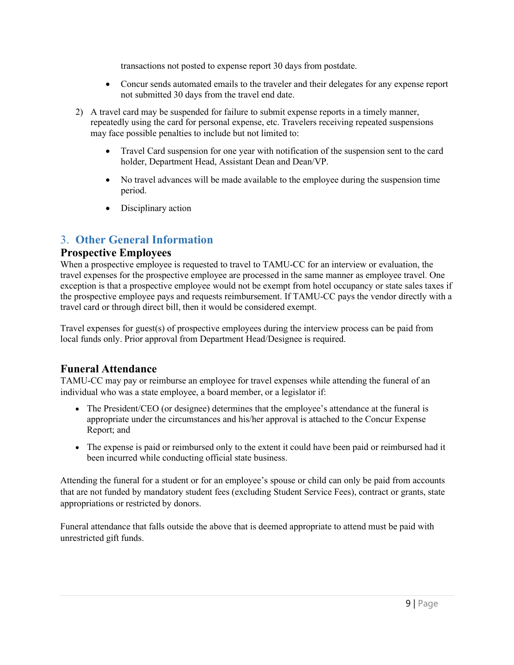transactions not posted to expense report 30 days from postdate.

- Concur sends automated emails to the traveler and their delegates for any expense report not submitted 30 days from the travel end date.
- 2) A travel card may be suspended for failure to submit expense reports in a timely manner, repeatedly using the card for personal expense, etc. Travelers receiving repeated suspensions may face possible penalties to include but not limited to:
	- Travel Card suspension for one year with notification of the suspension sent to the card holder, Department Head, Assistant Dean and Dean/VP.
	- No travel advances will be made available to the employee during the suspension time period.
	- Disciplinary action

# <span id="page-9-1"></span><span id="page-9-0"></span>3. **Other General Information**

#### **Prospective Employees**

When a prospective employee is requested to travel to TAMU-CC for an interview or evaluation, the travel expenses for the prospective employee are processed in the same manner as employee travel. One exception is that a prospective employee would not be exempt from hotel occupancy or state sales taxes if the prospective employee pays and requests reimbursement. If TAMU-CC pays the vendor directly with a travel card or through direct bill, then it would be considered exempt.

Travel expenses for guest(s) of prospective employees during the interview process can be paid from local funds only. Prior approval from Department Head/Designee is required.

# <span id="page-9-2"></span>**Funeral Attendance**

TAMU-CC may pay or reimburse an employee for travel expenses while attending the funeral of an individual who was a state employee, a board member, or a legislator if:

- The President/CEO (or designee) determines that the employee's attendance at the funeral is appropriate under the circumstances and his/her approval is attached to the Concur Expense Report; and
- The expense is paid or reimbursed only to the extent it could have been paid or reimbursed had it been incurred while conducting official state business.

Attending the funeral for a student or for an employee's spouse or child can only be paid from accounts that are not funded by mandatory student fees (excluding Student Service Fees), contract or grants, state appropriations or restricted by donors.

Funeral attendance that falls outside the above that is deemed appropriate to attend must be paid with unrestricted gift funds.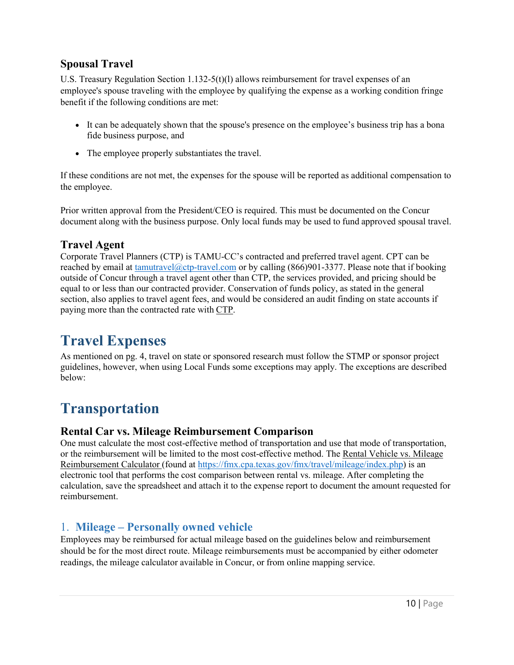# **Spousal Travel**

U.S. Treasury Regulation Section  $1.132-5(t)(l)$  allows reimbursement for travel expenses of an employee's spouse traveling with the employee by qualifying the expense as a working condition fringe benefit if the following conditions are met:

- It can be adequately shown that the spouse's presence on the employee's business trip has a bona fide business purpose, and
- The employee properly substantiates the travel.

If these conditions are not met, the expenses for the spouse will be reported as additional compensation to the employee.

Prior written approval from the President/CEO is required. This must be documented on the Concur document along with the business purpose. Only local funds may be used to fund approved spousal travel.

### **Travel Agent**

Corporate Travel Planners (CTP) is TAMU-CC's contracted and preferred travel agent. CPT can be reached by email at [tamutravel@ctp-travel.com](mailto:tamutravel@ctp-travel.com) or by calling (866)901-3377. Please note that if booking outside of Concur through a travel agent other than CTP, the services provided, and pricing should be equal to or less than our contracted provider. Conservation of funds policy, as stated in the general section, also applies to travel agent fees, and would be considered an audit finding on state accounts if paying more than the contracted rate with CTP.

# <span id="page-10-0"></span>**Travel Expenses**

As mentioned on pg. 4, travel on state or sponsored research must follow the STMP or sponsor project guidelines, however, when using Local Funds some exceptions may apply. The exceptions are described below:

# <span id="page-10-1"></span>**Transportation**

#### **Rental Car vs. Mileage Reimbursement Comparison**

One must calculate the most cost-effective method of transportation and use that mode of transportation, or the reimbursement will be limited to the most cost-effective method. The Rental Vehicle vs. Mileage Reimbursement Calculator (found at [https://fmx.cpa.texas.gov/fmx/travel/mileage/index.php\)](https://fmx.cpa.texas.gov/fmx/travel/mileage/index.php) is an electronic tool that performs the cost comparison between rental vs. mileage. After completing the calculation, save the spreadsheet and attach it to the expense report to document the amount requested for reimbursement.

# <span id="page-10-2"></span>1. **Mileage – Personally owned vehicle**

Employees may be reimbursed for actual mileage based on the guidelines below and reimbursement should be for the most direct route. Mileage reimbursements must be accompanied by either odometer readings, the mileage calculator available in Concur, or from online mapping service.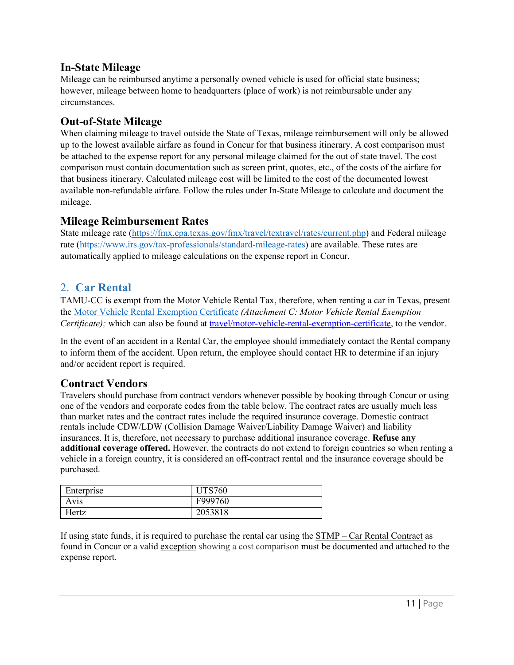#### <span id="page-11-0"></span>**In-State Mileage**

Mileage can be reimbursed anytime a personally owned vehicle is used for official state business; however, mileage between home to headquarters (place of work) is not reimbursable under any circumstances.

#### <span id="page-11-1"></span>**Out-of-State Mileage**

When claiming mileage to travel outside the State of Texas, mileage reimbursement will only be allowed up to the lowest available airfare as found in Concur for that business itinerary. A cost comparison must be attached to the expense report for any personal mileage claimed for the out of state travel. The cost comparison must contain documentation such as screen print, quotes, etc., of the costs of the airfare for that business itinerary. Calculated mileage cost will be limited to the cost of the documented lowest available non-refundable airfare. Follow the rules under In-State Mileage to calculate and document the mileage.

#### <span id="page-11-2"></span>**Mileage Reimbursement Rates**

State mileage rate [\(https://fmx.cpa.texas.gov/fmx/travel/textravel/rates/current.php\)](https://fmx.cpa.texas.gov/fmx/travel/textravel/rates/current.php) and Federal mileage rate [\(https://www.irs.gov/tax-professionals/standard-mileage-rates\)](https://www.irs.gov/tax-professionals/standard-mileage-rates) are available. These rates are automatically applied to mileage calculations on the expense report in Concur.

### <span id="page-11-3"></span>2. **Car Rental**

TAMU-CC is exempt from the Motor Vehicle Rental Tax, therefore, when renting a car in Texas, present the Motor Vehicle Rental Exemption Certificate *(Attachment C: Motor Vehicle Rental Exemption Certificate*); which can also be found at [travel/motor-vehicle-rental-exemption-certificate,](https://www.tamucc.edu/finance-and-administration/financial-services/disbursements-travel-services/travel/assets/documents/motor-vehicle-rental-exemption-certificate1.pdf) to the vendor.

In the event of an accident in a Rental Car, the employee should immediately contact the Rental company to inform them of the accident. Upon return, the employee should contact HR to determine if an injury and/or accident report is required.

#### <span id="page-11-4"></span>**Contract Vendors**

Travelers should purchase from contract vendors whenever possible by booking through Concur or using one of the vendors and corporate codes from the table below. The contract rates are usually much less than market rates and the contract rates include the required insurance coverage. Domestic contract rentals include CDW/LDW (Collision Damage Waiver/Liability Damage Waiver) and liability insurances. It is, therefore, not necessary to purchase additional insurance coverage. **Refuse any additional coverage offered.** However, the contracts do not extend to foreign countries so when renting a vehicle in a foreign country, it is considered an off-contract rental and the insurance coverage should be purchased.

| Enterprise | <b>UTS760</b> |
|------------|---------------|
| Avis       | F999760       |
| Hertz      | 2053818       |

If using state funds, it is required to purchase the rental car using the [STMP – Car Rental Contract](http://www.window.state.tx.us/procurement/prog/stmp/stmp-rental-car-contract/) as found in Concur or a valid [exception](http://www.tamus.edu/assets/files/travel/pdf/STMP%20Travel%20Exception%20Form.pdf) showing a cost comparison must be documented and attached to the expense report.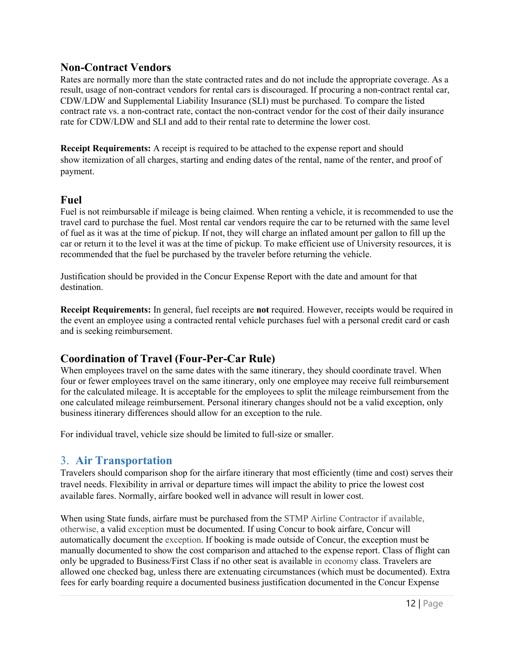#### <span id="page-12-0"></span>**Non-Contract Vendors**

Rates are normally more than the state contracted rates and do not include the appropriate coverage. As a result, usage of non-contract vendors for rental cars is discouraged. If procuring a non-contract rental car, CDW/LDW and Supplemental Liability Insurance (SLI) must be purchased. To compare the listed contract rate vs. a non-contract rate, contact the non-contract vendor for the cost of their daily insurance rate for CDW/LDW and SLI and add to their rental rate to determine the lower cost.

**Receipt Requirements:** A receipt is required to be attached to the expense report and should show itemization of all charges, starting and ending dates of the rental, name of the renter, and proof of payment.

#### <span id="page-12-1"></span>**Fuel**

Fuel is not reimbursable if mileage is being claimed. When renting a vehicle, it is recommended to use the travel card to purchase the fuel. Most rental car vendors require the car to be returned with the same level of fuel as it was at the time of pickup. If not, they will charge an inflated amount per gallon to fill up the car or return it to the level it was at the time of pickup. To make efficient use of University resources, it is recommended that the fuel be purchased by the traveler before returning the vehicle.

Justification should be provided in the Concur Expense Report with the date and amount for that destination.

**Receipt Requirements:** In general, fuel receipts are **not** required. However, receipts would be required in the event an employee using a contracted rental vehicle purchases fuel with a personal credit card or cash and is seeking reimbursement.

#### <span id="page-12-2"></span>**Coordination of Travel (Four-Per-Car Rule)**

When employees travel on the same dates with the same itinerary, they should coordinate travel. When four or fewer employees travel on the same itinerary, only one employee may receive full reimbursement for the calculated mileage. It is acceptable for the employees to split the mileage reimbursement from the one calculated mileage reimbursement. Personal itinerary changes should not be a valid exception, only business itinerary differences should allow for an exception to the rule.

For individual travel, vehicle size should be limited to full-size or smaller.

#### <span id="page-12-3"></span>3. **Air Transportation**

Travelers should comparison shop for the airfare itinerary that most efficiently (time and cost) serves their travel needs. Flexibility in arrival or departure times will impact the ability to price the lowest cost available fares. Normally, airfare booked well in advance will result in lower cost.

When using State funds, airfare must be purchased from the [STMP Airline Contracto](http://www.window.state.tx.us/procurement/prog/stmp/stmp-airline-contract/)r if available, otherwise, a valid [exception m](http://www.tamus.edu/assets/files/travel/pdf/STMP%20Travel%20Exception%20Form.pdf)ust be documented. If using Concur to book airfare, Concur will automatically document the [exception. I](http://www.tamus.edu/assets/files/travel/pdf/STMP%20Travel%20Exception%20Form.pdf)f booking is made outside of Concur, the exception must be manually documented to show the cost comparison and attached to the expense report. Class of flight can only be upgraded to Business/First Class if no other seat is available in economy class. Travelers are allowed one checked bag, unless there are extenuating circumstances (which must be documented). Extra fees for early boarding require a documented business justification documented in the Concur Expense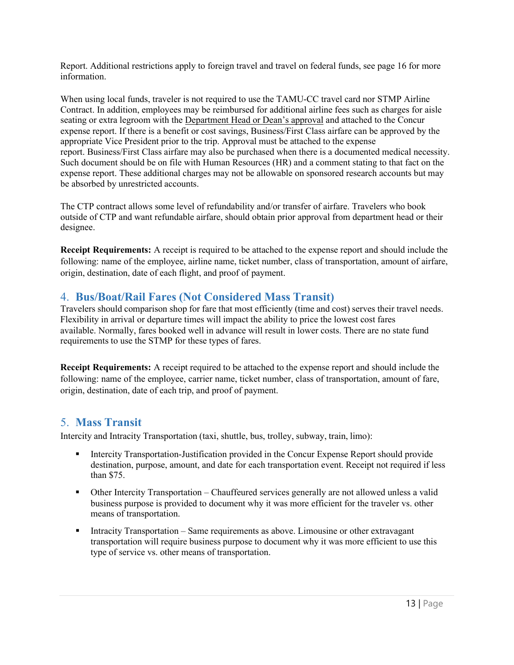Report. Additional restrictions apply to foreign travel and travel on federal funds, see page 16 for more information.

When using local funds, traveler is not required to use the TAMU-CC travel card nor STMP Airline Contract. In addition, employees may be reimbursed for additional airline fees such as charges for aisle seating or extra legroom with the Department Head or Dean's approval and attached to the Concur expense report. If there is a benefit or cost savings, Business/First Class airfare can be approved by the appropriate Vice President prior to the trip. Approval must be attached to the expense report. Business/First Class airfare may also be purchased when there is a documented medical necessity. Such document should be on file with Human Resources (HR) and a comment stating to that fact on the expense report. These additional charges may not be allowable on sponsored research accounts but may be absorbed by unrestricted accounts.

The CTP contract allows some level of refundability and/or transfer of airfare. Travelers who book outside of CTP and want refundable airfare, should obtain prior approval from department head or their designee.

**Receipt Requirements:** A receipt is required to be attached to the expense report and should include the following: name of the employee, airline name, ticket number, class of transportation, amount of airfare, origin, destination, date of each flight, and proof of payment.

# <span id="page-13-0"></span>4. **Bus/Boat/Rail Fares (Not Considered Mass Transit)**

Travelers should comparison shop for fare that most efficiently (time and cost) serves their travel needs. Flexibility in arrival or departure times will impact the ability to price the lowest cost fares available. Normally, fares booked well in advance will result in lower costs. There are no state fund requirements to use the STMP for these types of fares.

**Receipt Requirements:** A receipt required to be attached to the expense report and should include the following: name of the employee, carrier name, ticket number, class of transportation, amount of fare, origin, destination, date of each trip, and proof of payment.

# <span id="page-13-1"></span>5. **Mass Transit**

Intercity and Intracity Transportation (taxi, shuttle, bus, trolley, subway, train, limo):

- Intercity Transportation-Justification provided in the Concur Expense Report should provide destination, purpose, amount, and date for each transportation event. Receipt not required if less than \$75.
- Other Intercity Transportation Chauffeured services generally are not allowed unless a valid business purpose is provided to document why it was more efficient for the traveler vs. other means of transportation.
- Intracity Transportation Same requirements as above. Limousine or other extravagant transportation will require business purpose to document why it was more efficient to use this type of service vs. other means of transportation.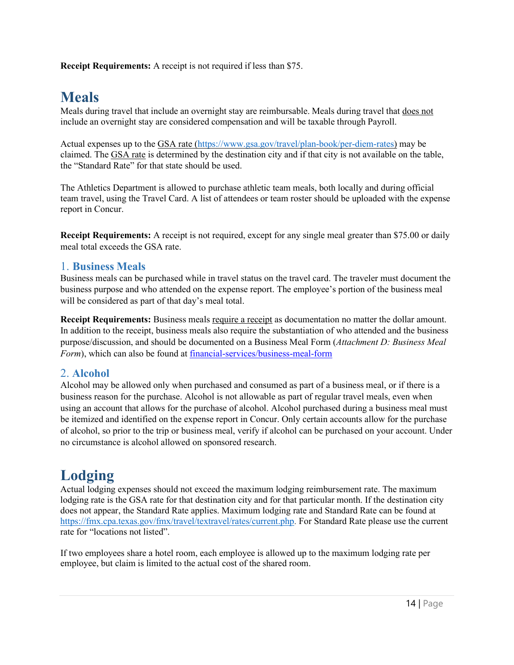**Receipt Requirements:** A receipt is not required if less than \$75.

# <span id="page-14-0"></span>**Meals**

Meals during travel that include an overnight stay are reimbursable. Meals during travel that does not include an overnight stay are considered compensation and will be taxable through Payroll.

Actual expenses up to the [GSA rate](http://www.gsa.gov/portal/content/104877) [\(https://www.gsa.gov/travel/plan-book/per-diem-rates\)](https://www.gsa.gov/travel/plan-book/per-diem-rates) may be claimed. The [GSA rate](http://www.gsa.gov/portal/content/104877) is determined by the destination city and if that city is not available on the table, the "Standard Rate" for that state should be used.

The Athletics Department is allowed to purchase athletic team meals, both locally and during official team travel, using the Travel Card. A list of attendees or team roster should be uploaded with the expense report in Concur.

**Receipt Requirements:** A receipt is not required, except for any single meal greater than \$75.00 or daily meal total exceeds the GSA rate.

#### <span id="page-14-1"></span>1. **Business Meals**

Business meals can be purchased while in travel status on the travel card. The traveler must document the business purpose and who attended on the expense report. The employee's portion of the business meal will be considered as part of that day's meal total.

**Receipt Requirements:** Business meals require a receipt as documentation no matter the dollar amount. In addition to the receipt, business meals also require the substantiation of who attended and the business purpose/discussion, and should be documented on a Business Meal Form (*Attachment D: Business Meal Form*), which can also be found at [financial-services/business-meal-form](https://www.tamucc.edu/finance-and-administration/financial-services/credit-card-administration/assets/documents/business-meal-form.pdf)

#### <span id="page-14-2"></span>2. **Alcohol**

Alcohol may be allowed only when purchased and consumed as part of a business meal, or if there is a business reason for the purchase. Alcohol is not allowable as part of regular travel meals, even when using an account that allows for the purchase of alcohol. Alcohol purchased during a business meal must be itemized and identified on the expense report in Concur. Only certain accounts allow for the purchase of alcohol, so prior to the trip or business meal, verify if alcohol can be purchased on your account. Under no circumstance is alcohol allowed on sponsored research.

# <span id="page-14-3"></span>**Lodging**

Actual lodging expenses should not exceed the maximum lodging reimbursement rate. The maximum lodging rate is the GSA rate for that destination city and for that particular month. If the destination city does not appear, the Standard Rate applies. Maximum lodging rate and Standard Rate can be found at [https://fmx.cpa.texas.gov/fmx/travel/textravel/rates/current.php. F](https://fmx.cpa.texas.gov/fmx/travel/textravel/rates/current.php)or Standard Rate please use the current rate for "locations not listed".

If two employees share a hotel room, each employee is allowed up to the maximum lodging rate per employee, but claim is limited to the actual cost of the shared room.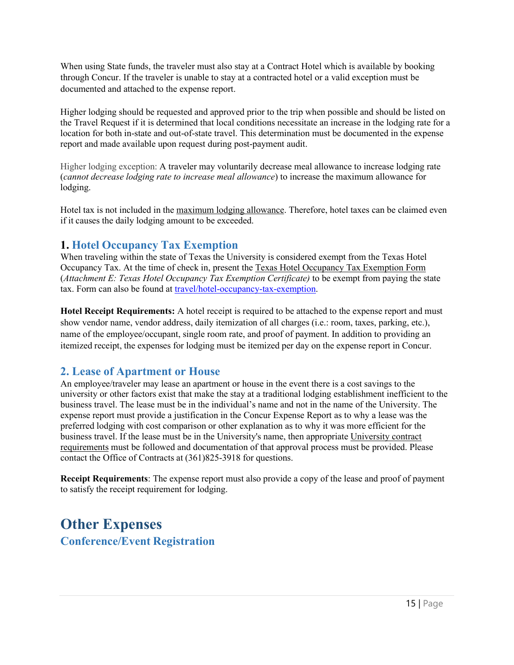When using State funds, the traveler must also stay at a [Contract Hotel w](http://portal.cpa.state.tx.us/hotel/hotel_directory/index.cfm)hich is available by booking through Concur. If the traveler is unable to stay at a contracted hotel or a valid [exception m](http://www.tamus.edu/assets/files/travel/pdf/STMP%20Travel%20Exception%20Form.pdf)ust be documented and attached to the expense report.

Higher lodging should be requested and approved prior to the trip when possible and should be listed on the Travel Request if it is determined that local conditions necessitate an increase in the lodging rate for a location for both in-state and out-of-state travel. This determination must be documented in the expense report and made available upon request during post-payment audit.

Higher lodging exception: A traveler may voluntarily decrease meal allowance to increase lodging rate (*cannot decrease lodging rate to increase meal allowance*) to increase the maximum allowance for lodging.

Hotel tax is not included in the [maximum lodging allowance. T](https://fmx.cpa.state.tx.us/fmx/travel/textravel/meallodg/hotelocc/maximum.php)herefore, hotel taxes can be claimed even if it causes the daily lodging amount to be exceeded.

### <span id="page-15-0"></span>**1. Hotel Occupancy Tax Exemption**

When traveling within the state of Texas the University is considered exempt from the Texas Hotel Occupancy Tax. At the time of check in, present the [Texas Hotel Occupancy Tax Exemption Form](https://disbursement.tamu.edu/media/64720/texas-hotel-occupancy-exemption.pdf) (*Attachment E: Texas Hotel Occupancy Tax Exemption Certificate)* to be exempt from paying the state tax. Form can also be found at [travel/hotel-occupancy-tax-exemption.](https://www.tamucc.edu/finance-and-administration/financial-services/disbursements-travel-services/travel/assets/documents/hotel-occupancy-tax-exemption.pdf)

**Hotel Receipt Requirements:** A hotel receipt is required to be attached to the expense report and must show vendor name, vendor address, daily itemization of all charges (i.e.: room, taxes, parking, etc.), name of the employee/occupant, single room rate, and proof of payment. In addition to providing an itemized receipt, the expenses for lodging must be itemized per day on the expense report in Concur.

#### <span id="page-15-1"></span>**2. Lease of Apartment or House**

An employee/traveler may lease an apartment or house in the event there is a cost savings to the university or other factors exist that make the stay at a traditional lodging establishment inefficient to the business travel. The lease must be in the individual's name and not in the name of the University. The expense report must provide a justification in the Concur Expense Report as to why a lease was the preferred lodging with cost comparison or other explanation as to why it was more efficient for the business travel. If the lease must be in the University's name, then appropriat[e University contract](https://disbursement.tamu.edu/purchase/purchasing/contracts/) [requirements](https://disbursement.tamu.edu/purchase/purchasing/contracts/) must be followed and documentation of that approval process must be provided. Please contact the Office of Contracts at (361)825-3918 for questions.

**Receipt Requirements**: The expense report must also provide a copy of the lease and proof of payment to satisfy the receipt requirement for lodging.

# <span id="page-15-3"></span><span id="page-15-2"></span>**Other Expenses Conference/Event Registration**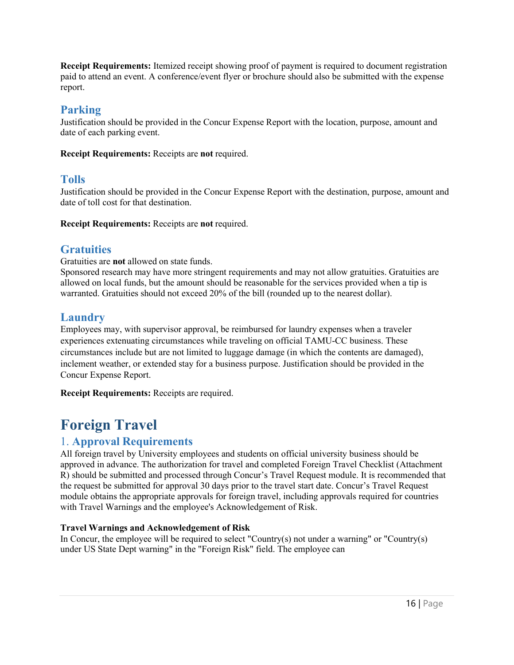**Receipt Requirements:** Itemized receipt showing proof of payment is required to document registration paid to attend an event. A conference/event flyer or brochure should also be submitted with the expense report.

### <span id="page-16-0"></span>**Parking**

Justification should be provided in the Concur Expense Report with the location, purpose, amount and date of each parking event.

**Receipt Requirements:** Receipts are **not** required.

# <span id="page-16-1"></span>**Tolls**

Justification should be provided in the Concur Expense Report with the destination, purpose, amount and date of toll cost for that destination.

**Receipt Requirements:** Receipts are **not** required.

# <span id="page-16-2"></span>**Gratuities**

Gratuities are **not** allowed on state funds.

Sponsored research may have more stringent requirements and may not allow gratuities. Gratuities are allowed on local funds, but the amount should be reasonable for the services provided when a tip is warranted. Gratuities should not exceed 20% of the bill (rounded up to the nearest dollar).

# <span id="page-16-3"></span>**Laundry**

Employees may, with supervisor approval, be reimbursed for laundry expenses when a traveler experiences extenuating circumstances while traveling on official TAMU-CC business. These circumstances include but are not limited to luggage damage (in which the contents are damaged), inclement weather, or extended stay for a business purpose. Justification should be provided in the Concur Expense Report.

**Receipt Requirements:** Receipts are required.

# <span id="page-16-4"></span>**Foreign Travel**

# <span id="page-16-5"></span>1. **Approval Requirements**

All foreign travel by University employees and students on official university business should be approved in advance. The authorization for travel and completed Foreign Travel Checklist (Attachment R) should be submitted and processed through Concur's Travel Request module. It is recommended that the request be submitted for approval 30 days prior to the travel start date. Concur's Travel Request module obtains the appropriate approvals for foreign travel, including approvals required for countries with Travel Warnings and the employee's Acknowledgement of Risk.

#### **Travel Warnings and Acknowledgement of Risk**

In Concur, the employee will be required to select "Country(s) not under a warning" or "Country(s) under US State Dept warning" in the "Foreign Risk" field. The employee can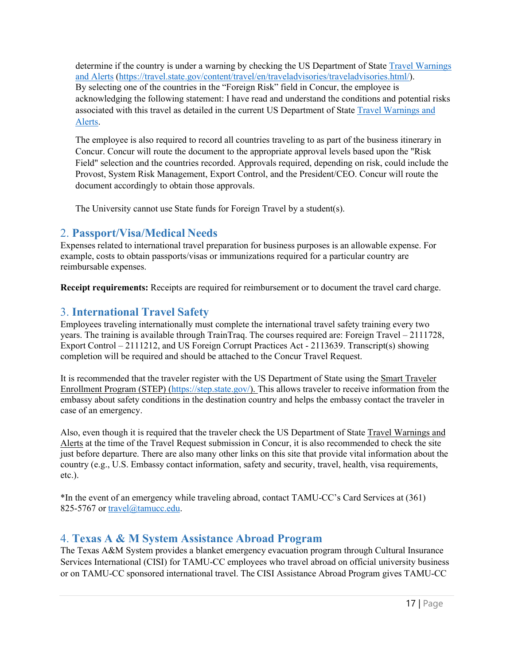determine if the country is under a warning by checking the US Department of State [Travel Warnings](http://travel.state.gov/content/passports/english/alertswarnings.html) [and Alerts](http://travel.state.gov/content/passports/english/alertswarnings.html) [\(https://travel.state.gov/content/travel/en/traveladvisories/traveladvisories.html/\)](https://travel.state.gov/content/travel/en/traveladvisories/traveladvisories.html/). By selecting one of the countries in the "Foreign Risk" field in Concur, the employee is acknowledging the following statement: I have read and understand the conditions and potential risks associated with this travel as detailed in the current US Department of Stat[e Travel Warnings and](http://travel.state.gov/content/passports/english/alertswarnings.html) [Alerts.](http://travel.state.gov/content/passports/english/alertswarnings.html)

The employee is also required to record all countries traveling to as part of the business itinerary in Concur. Concur will route the document to the appropriate approval levels based upon the "Risk Field" selection and the countries recorded. Approvals required, depending on risk, could include the Provost, System Risk Management, Export Control, and the President/CEO. Concur will route the document accordingly to obtain those approvals.

The University cannot use State funds for Foreign Travel by a student(s).

# <span id="page-17-0"></span>2. **Passport/Visa/Medical Needs**

Expenses related to international travel preparation for business purposes is an allowable expense. For example, costs to obtain passports/visas or immunizations required for a particular country are reimbursable expenses.

**Receipt requirements:** Receipts are required for reimbursement or to document the travel card charge.

# <span id="page-17-1"></span>3. **International Travel Safety**

Employees traveling internationally must complete the international travel safety training every two years. The training is available through TrainTraq. The courses required are: Foreign Travel – 2111728, Export Control – 2111212, and US Foreign Corrupt Practices Act - 2113639. Transcript(s) showing completion will be required and should be attached to the Concur Travel Request.

It is recommended that the traveler register with the US Department of State using th[e Smart Traveler](https://step.state.gov/step/) [Enrollment Program \(STEP\) \(](https://step.state.gov/step/)[https://step.state.gov/\)](https://step.state.gov/). This allows traveler to receive information from the embassy about safety conditions in the destination country and helps the embassy contact the traveler in case of an emergency.

Also, even though it is required that the traveler check the US Department of State [Travel Warnings and](http://travel.state.gov/content/passports/english/alertswarnings.html) [Alerts](http://travel.state.gov/content/passports/english/alertswarnings.html) at the time of the Travel Request submission in Concur, it is also recommended to check the site just before departure. There are also many other links on this site that provide vital information about the country (e.g., U.S. Embassy contact information, safety and security, travel, health, visa requirements, etc.).

\*In the event of an emergency while traveling abroad, contact TAMU-CC's [Card S](http://traveltest.tamu.edu/Assistance-Abroad-Program)ervices at (361) 825-5767 or [travel@tamucc.edu.](mailto:travel@tamucc.edu)

# <span id="page-17-2"></span>4. **Texas A & M System Assistance Abroad Program**

The Texas A&M System provides a blanket emergency evacuation program through Cultural Insurance Services International (CISI) for TAMU-CC employees who travel abroad on official university business or on TAMU-CC sponsored international travel. The CISI Assistance Abroad Program gives TAMU-CC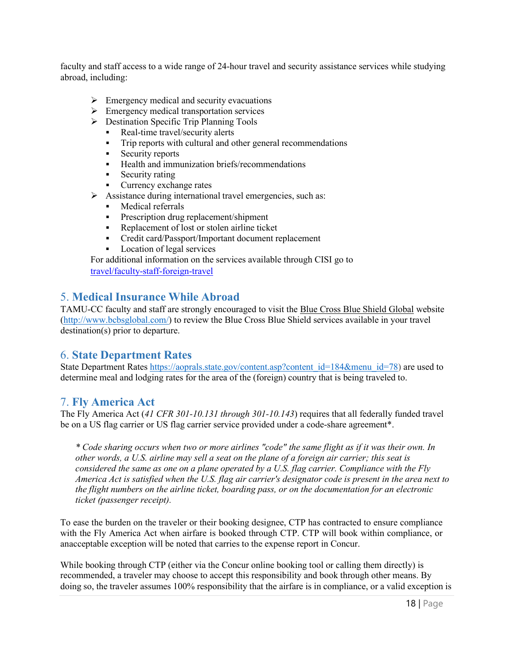faculty and staff access to a wide range of 24-hour travel and security assistance services while studying abroad, including:

- $\triangleright$  Emergency medical and security evacuations
- $\triangleright$  Emergency medical transportation services
- $\triangleright$  Destination Specific Trip Planning Tools
	- Real-time travel/security alerts
	- **Trip reports with cultural and other general recommendations**
	- Security reports
	- Health and immunization briefs/recommendations
	- Security rating
	- Currency exchange rates
- $\triangleright$  Assistance during international travel emergencies, such as:
	- **Medical referrals**
	- **Prescription drug replacement/shipment**
	- Replacement of lost or stolen airline ticket
	- Credit card/Passport/Important document replacement
	- **Location of legal services**

For additional information on the services available through CISI go to [travel/faculty-staff-foreign-travel](https://www.tamucc.edu/finance-and-administration/financial-services/disbursements-travel-services/travel/faculty-staff-foreign-travel.php)

# <span id="page-18-0"></span>5. **Medical Insurance While Abroad**

TAMU-CC faculty and staff are strongly encouraged to visit the [Blue C](http://www.bcbs.com/already-a-member/traveling-outside-of-the.html)ross Blue Shield Global website [\(http://www.bcbsglobal.com/\)](http://www.bcbsglobal.com/) to review the Blue Cross Blue Shield services available in your travel destination(s) prior to departure.

#### <span id="page-18-1"></span>6. **State Department Rates**

State Department Rate[s https://aoprals.state.gov/content.asp?content\\_id=184&menu\\_id=78\)](https://aoprals.state.gov/content.asp?content_id=184&menu_id=78) are used to determine meal and lodging rates for the area of the (foreign) country that is being traveled to.

#### <span id="page-18-2"></span>7. **Fly America Act**

The Fly America Act (*41 CFR 301-10.131 through 301-10.143*) requires that all federally funded travel be on a US flag carrier or US flag carrier service provided under a code-share agreement\*.

*\* Code sharing occurs when two or more airlines "code" the same flight as if it was their own. In other words, a U.S. airline may sell a seat on the plane of a foreign air carrier; this seat is considered the same as one on a plane operated by a U.S. flag carrier. Compliance with the Fly America Act is satisfied when the U.S. flag air carrier's designator code is present in the area next to the flight numbers on the airline ticket, boarding pass, or on the documentation for an electronic ticket (passenger receipt).*

To ease the burden on the traveler or their booking designee, CTP has contracted to ensure compliance with the Fly America Act when airfare is booked through CTP. CTP will book within compliance, or anacceptable exception will be noted that carries to the expense report in Concur.

While booking through CTP (either via the Concur online booking tool or calling them directly) is recommended, a traveler may choose to accept this responsibility and book through other means. By doing so, the traveler assumes 100% responsibility that the airfare is in compliance, or a valid exception is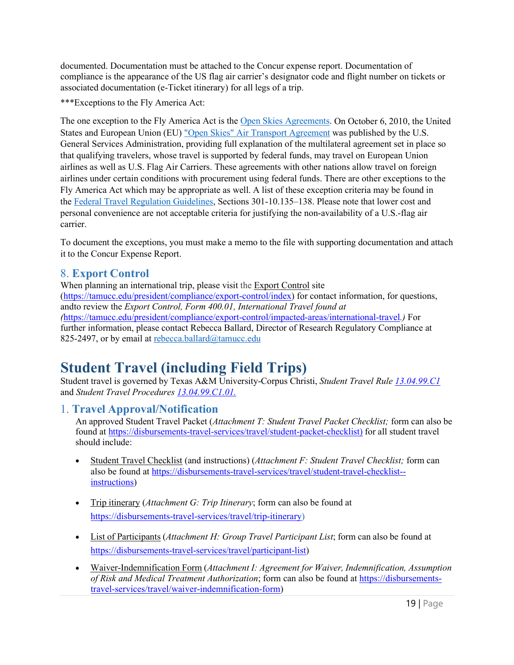documented. Documentation must be attached to the Concur expense report. Documentation of compliance is the appearance of the US flag air carrier's designator code and flight number on tickets or associated documentation (e-Ticket itinerary) for all legs of a trip.

\*\*\*Exceptions to the Fly America Act:

The one exception to the Fly America Act is the [Open Skies Agreements. O](http://www.gsa.gov/portal/content/103191)n October 6, 2010, the United States and European Union (EU) ["Open Skies" Air Transport Agreement w](http://www.gsa.gov/graphics/ogp/FTRBulletin11-02USEUOpenSkies.pdf)as published by the U.S. General Services Administration, providing full explanation of the multilateral agreement set in place so that qualifying travelers, whose travel is supported by federal funds, may travel on European Union airlines as well as U.S. Flag Air Carriers. These agreements with other nations allow travel on foreign airlines under certain conditions with procurement using federal funds. There are other exceptions to the Fly America Act which may be appropriate as well. A list of these exception criteria may be found in the [Federal Travel Regulation Guidelines,](http://www.gsa.gov/portal/ext/public/site/FTR/file/Chapter301p010.html/category/21868/#wp1088913) Sections 301‐10.135–138. Please note that lower cost and personal convenience are not acceptable criteria for justifying the non-availability of a U.S.-flag air carrier.

To document the exceptions, you must make a memo to the file with supporting documentation and attach it to the Concur Expense Report.

### <span id="page-19-0"></span>8. **Export Control**

When planning an international trip, please visit the [Export Control s](http://vpr.tamu.edu/resources/export-controls)ite [\(https://tamucc.edu/president/compliance/export-control/index\)](https://www.tamucc.edu/president/compliance/export-control/index.php) for contact information, for questions, andto review the *Export Control, Form 400.01, International Travel found at (*[https://tamucc.edu/president/compliance/export-control/impacted-areas/international-travel](https://www.tamucc.edu/president/compliance/export-control/impacted-areas/international-travel.php)*.)* For further information, please contact Rebecca Ballard, Director of Research Regulatory Compliance at 825-2497, or by email at [rebecca.ballard@tamucc.edu](mailto:rebecca.ballard@tamucc.edu)

# <span id="page-19-1"></span>**Student Travel (including Field Trips)**

Student travel is governed by Texas A&M University-Corpus Christi, *Student Travel Rule [13.04.99.C1](https://www.tamucc.edu/governance/rules-procedures/assets/13.04.99.c1-student-travel.pdf)*  and *Student Travel Procedures [13.04.99.C1.01.](https://www.tamucc.edu/governance/rules-procedures/assets/13.04.99.c1.01-student-travel.pdf)*

#### <span id="page-19-2"></span>1. **Travel Approval/Notification**

An approved Student Travel Packet (*Attachment T: Student Travel Packet Checklist;* form can also be found at [https://disbursements-travel-services/travel/student-packet-checklist\)](https://www.tamucc.edu/finance-and-administration/financial-services/disbursements-travel-services/travel/assets/documents/student-packet-checklist.pdf) for all student travel should include:

- Student Travel Checklist (and instructions) (*Attachment F: Student Travel Checklist;* form can also be found at [https://disbursements-travel-services/travel/student-travel-checklist-](https://www.tamucc.edu/finance-and-administration/financial-services/disbursements-travel-services/travel/assets/documents/student-travel-checklist--instructions.pdf) [instructions\)](https://www.tamucc.edu/finance-and-administration/financial-services/disbursements-travel-services/travel/assets/documents/student-travel-checklist--instructions.pdf)
- Trip itinerary (*Attachment G: Trip Itinerary*; form can also be found at [https://disbursements-travel-services/travel/trip-itinerary\)](https://www.tamucc.edu/finance-and-administration/financial-services/disbursements-travel-services/travel/assets/documents/trip-itinerary.pdf)
- List of Participants (*Attachment H: Group Travel Participant List*; form can also be found at [https://disbursements-travel-services/travel/participant-list\)](https://www.tamucc.edu/finance-and-administration/financial-services/disbursements-travel-services/travel/assets/documents/participant-list.pdf)
- Waiver-Indemnification Form (*Attachment I: Agreement for Waiver, Indemnification, Assumption of Risk and Medical Treatment Authorization*; form can also be found at [https://disbursements](https://www.tamucc.edu/finance-and-administration/financial-services/disbursements-travel-services/travel/assets/documents/waiver-indemnification-form.pdf)[travel-services/travel/waiver-indemnification-form\)](https://www.tamucc.edu/finance-and-administration/financial-services/disbursements-travel-services/travel/assets/documents/waiver-indemnification-form.pdf)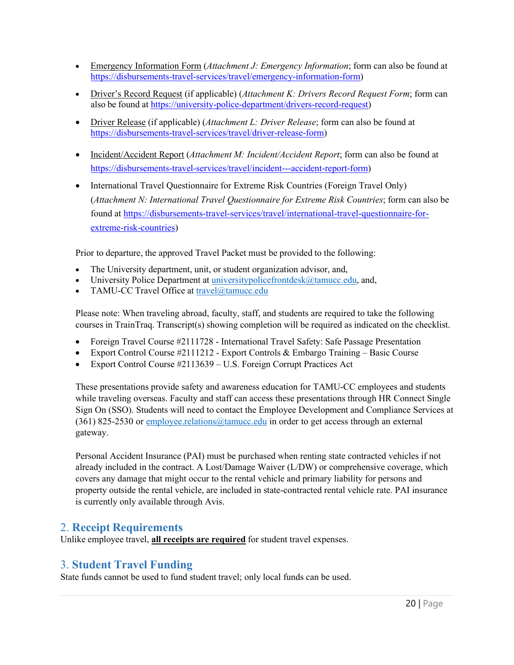- Emergency Information Form (*Attachment J: Emergency Information*; form can also be found at [https://disbursements-travel-services/travel/emergency-information-form\)](https://www.tamucc.edu/finance-and-administration/financial-services/disbursements-travel-services/travel/assets/documents/emergency-information-form.pdf)
- Driver's Record Request (if applicable) (*Attachment K: Drivers Record Request Form*; form can also be found at [https://university-police-department/drivers-record-request\)](https://www.tamucc.edu/university-police-department/assets/documents/drivers-record-request.pdf)
- Driver Release (if applicable) (*Attachment L: Driver Release*; form can also be found at [https://disbursements-travel-services/travel/driver-release-form\)](https://www.tamucc.edu/finance-and-administration/financial-services/disbursements-travel-services/travel/assets/documents/driver-release-form.pdf)
- Incident/Accident Report (*Attachment M: Incident/Accident Report*; form can also be found at [https://disbursements-travel-services/travel/incident---accident-report-form\)](https://www.tamucc.edu/finance-and-administration/financial-services/disbursements-travel-services/travel/assets/documents/incident---accident-report-form1.pdf)
- International Travel Questionnaire for Extreme Risk Countries (Foreign Travel Only) (*Attachment N: International Travel Questionnaire for Extreme Risk Countries*; form can also be found at [https://disbursements-travel-services/travel/international-travel-questionnaire-for](https://www.tamucc.edu/finance-and-administration/financial-services/disbursements-travel-services/travel/assets/documents/international-travel-questionnaire-for-extreme-risk-countries1.pdf)[extreme-risk-countries\)](https://www.tamucc.edu/finance-and-administration/financial-services/disbursements-travel-services/travel/assets/documents/international-travel-questionnaire-for-extreme-risk-countries1.pdf)

Prior to departure, the approved Travel Packet must be provided to the following:

- The University department, unit, or student organization advisor, and,
- University Police Department at [universitypolicefrontdesk@tamucc.edu, a](mailto:universitypolicefrontdesk@tamucc.edu)nd,
- TAMU-CC Travel Office at [travel@tamucc.edu](mailto:travel@tamucc.edu)

Please note: When traveling abroad, faculty, staff, and students are required to take the following courses in TrainTraq. Transcript(s) showing completion will be required as indicated on the checklist.

- Foreign Travel Course #2111728 International Travel Safety: Safe Passage Presentation
- Export Control Course  $\#2111212$  Export Controls & Embargo Training Basic Course
- Export Control Course #2113639 U.S. Foreign Corrupt Practices Act

These presentations provide safety and awareness education for TAMU-CC employees and students while traveling overseas. Faculty and staff can access these presentations through HR Connect Single Sign On (SSO). Students will need to contact the Employee Development and Compliance Services at (361) 825-2530 or [employee.relations@tamucc.edu i](mailto:employee.relations@tamucc.edu)n order to get access through an external gateway.

Personal Accident Insurance (PAI) must be purchased when renting state contracted vehicles if not already included in the contract. A Lost/Damage Waiver (L/DW) or comprehensive coverage, which covers any damage that might occur to the rental vehicle and primary liability for persons and property outside the rental vehicle, are included in state-contracted rental vehicle rate. PAI insurance is currently only available through Avis.

#### <span id="page-20-0"></span>2. **Receipt Requirements**

Unlike employee travel, **all receipts are required** for student travel expenses.

# <span id="page-20-1"></span>3. **Student Travel Funding**

State funds cannot be used to fund student travel; only local funds can be used.